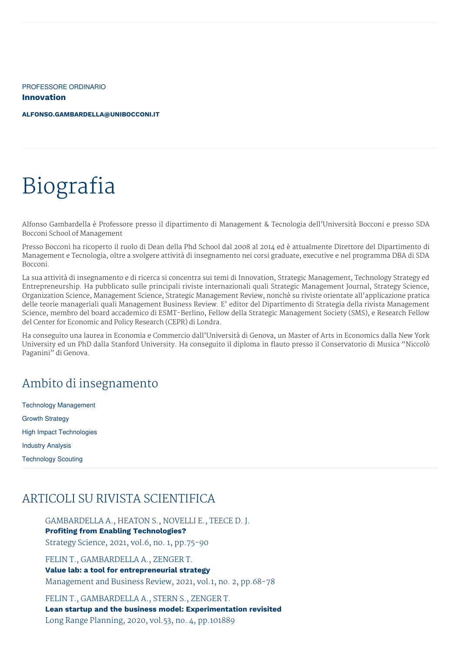PROFESSORE ORDINARIO **Innovation**

**[ALFONSO.GAMBARDELLA@UNIBOCCONI.IT](mailto:alfonso.gambardella@unibocconi.it)**

# Biografia

Alfonso Gambardella è Professore presso il dipartimento di Management & Tecnologia dell'Università Bocconi e presso SDA Bocconi School of Management

Presso Bocconi ha ricoperto il ruolo di Dean della Phd School dal 2008 al 2014 ed è attualmente Direttore del Dipartimento di Management e Tecnologia, oltre a svolgere attività di insegnamento nei corsi graduate, executive e nel programma DBA di SDA Bocconi.

La sua attività di insegnamento e di ricerca si concentra sui temi di Innovation, Strategic Management, Technology Strategy ed Entrepreneurship. Ha pubblicato sulle principali riviste internazionali quali Strategic Management Journal, Strategy Science, Organization Science, Management Science, Strategic Management Review, nonchè su riviste orientate all'applicazione pratica delle teorie manageriali quali Management Business Review. E' editor del Dipartimento di Strategia della rivista Management Science, membro del board accademico di ESMT-Berlino, Fellow della Strategic Management Society (SMS), e Research Fellow del Center for Economic and Policy Research (CEPR) di Londra.

Ha conseguito una laurea in Economia e Commercio dall'Università di Genova, un Master of Arts in Economics dalla New York University ed un PhD dalla Stanford University. Ha conseguito il diploma in flauto presso il Conservatorio di Musica "Niccolò Paganini" di Genova.

### Ambito di insegnamento

Technology Management Growth Strategy High Impact Technologies Industry Analysis Technology Scouting

# ARTICOLI SU RIVISTA SCIENTIFICA

GAMBARDELLA A., HEATON S., NOVELLI E., TEECE D. J. **Profiting from Enabling Technologies?** Strategy Science, 2021, vol.6, no. 1, pp.75-90

FELIN T., GAMBARDELLA A., ZENGER T. **Value lab: a tool for entrepreneurial strategy** Management and Business Review, 2021, vol.1, no. 2, pp.68-78

FELIN T., GAMBARDELLA A., STERN S., ZENGER T. **Lean startup and the business model: Experimentation revisited** Long Range Planning, 2020, vol.53, no. 4, pp.101889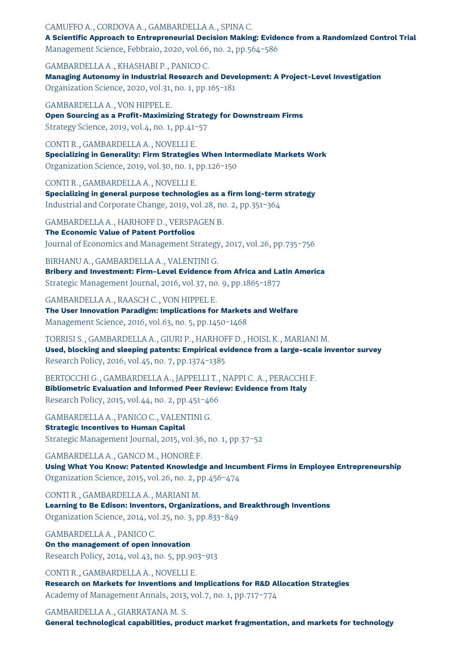#### CAMUFFO A., CORDOVA A., GAMBARDELLA A., SPINA C.

**A Scientific Approach to Entrepreneurial Decision Making: Evidence from a Randomized Control Trial** Management Science, Febbraio, 2020, vol.66, no. 2, pp.564-586

GAMBARDELLA A., KHASHABI P., PANICO C. **Managing Autonomy in Industrial Research and Development: A Project-Level Investigation** Organization Science, 2020, vol.31, no. 1, pp.165-181

GAMBARDELLA A., VON HIPPEL E. **Open Sourcing as a Profit-Maximizing Strategy for Downstream Firms** Strategy Science, 2019, vol.4, no. 1, pp.41-57

CONTI R., GAMBARDELLA A., NOVELLI E. **Specializing in Generality: Firm Strategies When Intermediate Markets Work** Organization Science, 2019, vol.30, no. 1, pp.126-150

CONTI R., GAMBARDELLA A., NOVELLI E. **Specializing in general purpose technologies as a firm long-term strategy** Industrial and Corporate Change, 2019, vol.28, no. 2, pp.351-364

GAMBARDELLA A., HARHOFF D., VERSPAGEN B. **The Economic Value of Patent Portfolios** Journal of Economics and Management Strategy, 2017, vol.26, pp.735-756

BIRHANU A., GAMBARDELLA A., VALENTINI G. **Bribery and Investment: Firm-Level Evidence from Africa and Latin America** Strategic Management Journal, 2016, vol.37, no. 9, pp.1865-1877

GAMBARDELLA A., RAASCH C., VON HIPPEL E. **The User Innovation Paradigm: Implications for Markets and Welfare** Management Science, 2016, vol.63, no. 5, pp.1450-1468

TORRISI S., GAMBARDELLA A., GIURI P., HARHOFF D., HOISL K., MARIANI M. **Used, blocking and sleeping patents: Empirical evidence from a large-scale inventor survey** Research Policy, 2016, vol.45, no. 7, pp.1374-1385

BERTOCCHI G., GAMBARDELLA A., JAPPELLI T., NAPPI C. A., PERACCHI F. **Bibliometric Evaluation and Informed Peer Review: Evidence from Italy** Research Policy, 2015, vol.44, no. 2, pp.451-466

GAMBARDELLA A., PANICO C., VALENTINI G. **Strategic Incentives to Human Capital** Strategic Management Journal, 2015, vol.36, no. 1, pp.37-52

GAMBARDELLA A., GANCO M., HONORÈ F. **Using What You Know: Patented Knowledge and Incumbent Firms in Employee Entrepreneurship** Organization Science, 2015, vol.26, no. 2, pp.456-474

CONTI R., GAMBARDELLA A., MARIANI M. **Learning to Be Edison: Inventors, Organizations, and Breakthrough Inventions** Organization Science, 2014, vol.25, no. 3, pp.833-849

GAMBARDELLA A., PANICO C. **On the management of open innovation** Research Policy, 2014, vol.43, no. 5, pp.903-913

CONTI R., GAMBARDELLA A., NOVELLI E. **Research on Markets for Inventions and Implications for R&D Allocation Strategies** Academy of Management Annals, 2013, vol.7, no. 1, pp.717-774

GAMBARDELLA A., GIARRATANA M. S. **General technological capabilities, product market fragmentation, and markets for technology**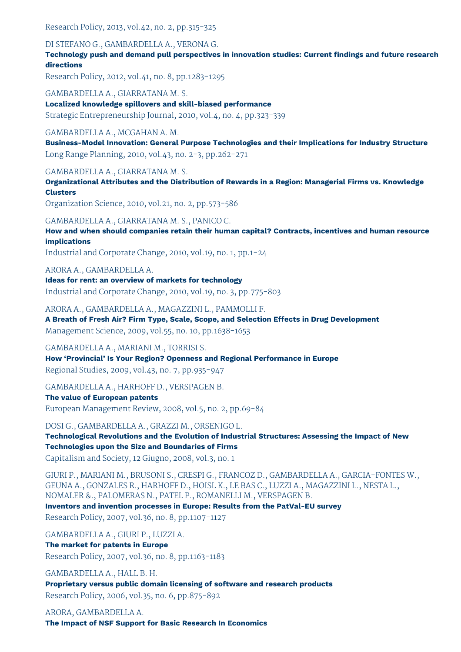Research Policy, 2013, vol.42, no. 2, pp.315-325

#### DI STEFANO G., GAMBARDELLA A., VERONA G.

**Technology push and demand pull perspectives in innovation studies: Current findings and future research directions**

Research Policy, 2012, vol.41, no. 8, pp.1283-1295

GAMBARDELLA A., GIARRATANA M. S.

**Localized knowledge spillovers and skill-biased performance** Strategic Entrepreneurship Journal, 2010, vol.4, no. 4, pp.323-339

#### GAMBARDELLA A., MCGAHAN A. M.

**Business-Model Innovation: General Purpose Technologies and their Implications for Industry Structure** Long Range Planning, 2010, vol.43, no. 2-3, pp.262-271

#### GAMBARDELLA A., GIARRATANA M. S.

**Organizational Attributes and the Distribution of Rewards in a Region: Managerial Firms vs. Knowledge Clusters**

Organization Science, 2010, vol.21, no. 2, pp.573-586

#### GAMBARDELLA A., GIARRATANA M. S., PANICO C.

**How and when should companies retain their human capital? Contracts, incentives and human resource implications**

Industrial and Corporate Change, 2010, vol.19, no. 1, pp.1-24

#### ARORA A., GAMBARDELLA A.

**Ideas for rent: an overview of markets for technology** Industrial and Corporate Change, 2010, vol.19, no. 3, pp.775-803

#### ARORA A., GAMBARDELLA A., MAGAZZINI L., PAMMOLLI F.

**A Breath of Fresh Air? Firm Type, Scale, Scope, and Selection Effects in Drug Development** Management Science, 2009, vol.55, no. 10, pp.1638-1653

#### GAMBARDELLA A., MARIANI M., TORRISI S.

**How 'Provincial' Is Your Region? Openness and Regional Performance in Europe** Regional Studies, 2009, vol.43, no. 7, pp.935-947

#### GAMBARDELLA A., HARHOFF D., VERSPAGEN B.

#### **The value of European patents**

European Management Review, 2008, vol.5, no. 2, pp.69-84

#### DOSI G., GAMBARDELLA A., GRAZZI M., ORSENIGO L.

**Technological Revolutions and the Evolution of Industrial Structures: Assessing the Impact of New Technologies upon the Size and Boundaries of Firms**

Capitalism and Society, 12 Giugno, 2008, vol.3, no. 1

GIURI P., MARIANI M., BRUSONI S., CRESPI G., FRANCOZ D., GAMBARDELLA A., GARCIA-FONTES W., GEUNA A., GONZALES R., HARHOFF D., HOISL K., LE BAS C., LUZZI A., MAGAZZINI L., NESTA L., NOMALER &., PALOMERAS N., PATEL P., ROMANELLI M., VERSPAGEN B.

**Inventors and invention processes in Europe: Results from the PatVal-EU survey**

Research Policy, 2007, vol.36, no. 8, pp.1107-1127

GAMBARDELLA A., GIURI P., LUZZI A. **The market for patents in Europe**

Research Policy, 2007, vol.36, no. 8, pp.1163-1183

GAMBARDELLA A., HALL B. H. **Proprietary versus public domain licensing of software and research products** Research Policy, 2006, vol.35, no. 6, pp.875-892

ARORA, GAMBARDELLA A. **The Impact of NSF Support for Basic Research In Economics**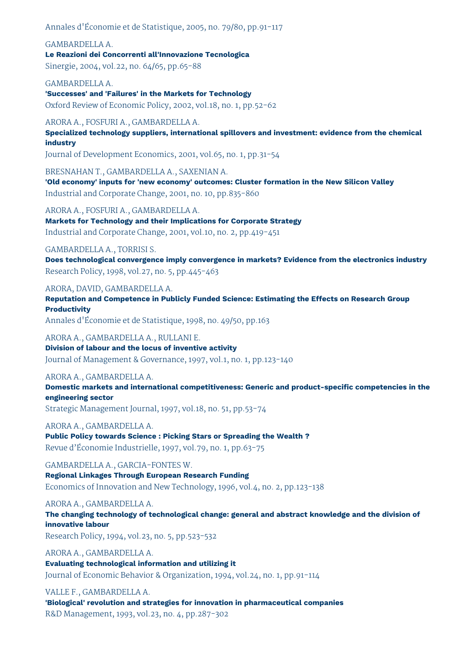Annales d'Économie et de Statistique, 2005, no. 79/80, pp.91-117

GAMBARDELLA A. **Le Reazioni dei Concorrenti all'Innovazione Tecnologica**

Sinergie, 2004, vol.22, no. 64/65, pp.65-88

#### GAMBARDELLA A.

**'Successes' and 'Failures' in the Markets for Technology** Oxford Review of Economic Policy, 2002, vol.18, no. 1, pp.52-62

ARORA A., FOSFURI A., GAMBARDELLA A.

**Specialized technology suppliers, international spillovers and investment: evidence from the chemical industry**

Journal of Development Economics, 2001, vol.65, no. 1, pp.31-54

BRESNAHAN T., GAMBARDELLA A., SAXENIAN A.

**'Old economy' inputs for 'new economy' outcomes: Cluster formation in the New Silicon Valley** Industrial and Corporate Change, 2001, no. 10, pp.835-860

ARORA A., FOSFURI A., GAMBARDELLA A.

**Markets for Technology and their Implications for Corporate Strategy** Industrial and Corporate Change, 2001, vol.10, no. 2, pp.419-451

#### GAMBARDELLA A., TORRISI S.

**Does technological convergence imply convergence in markets? Evidence from the electronics industry** Research Policy, 1998, vol.27, no. 5, pp.445-463

ARORA, DAVID, GAMBARDELLA A.

**Reputation and Competence in Publicly Funded Science: Estimating the Effects on Research Group Productivity**

Annales d'Économie et de Statistique, 1998, no. 49/50, pp.163

ARORA A., GAMBARDELLA A., RULLANI E.

**Division of labour and the locus of inventive activity** Journal of Management & Governance, 1997, vol.1, no. 1, pp.123-140

#### ARORA A., GAMBARDELLA A.

**Domestic markets and international competitiveness: Generic and product-specific competencies in the engineering sector**

Strategic Management Journal, 1997, vol.18, no. 51, pp.53-74

ARORA A., GAMBARDELLA A.

**Public Policy towards Science : Picking Stars or Spreading the Wealth ?** Revue d'Économie Industrielle, 1997, vol.79, no. 1, pp.63-75

GAMBARDELLA A., GARCIA-FONTES W.

**Regional Linkages Through European Research Funding** Economics of Innovation and New Technology, 1996, vol.4, no. 2, pp.123-138

ARORA A., GAMBARDELLA A.

**The changing technology of technological change: general and abstract knowledge and the division of innovative labour**

Research Policy, 1994, vol.23, no. 5, pp.523-532

ARORA A., GAMBARDELLA A. **Evaluating technological information and utilizing it** Journal of Economic Behavior & Organization, 1994, vol.24, no. 1, pp.91-114

#### VALLE F., GAMBARDELLA A.

**'Biological' revolution and strategies for innovation in pharmaceutical companies** R&D Management, 1993, vol.23, no. 4, pp.287-302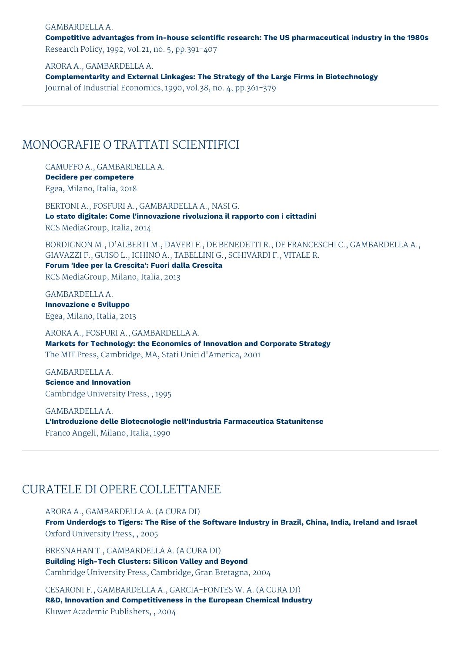#### GAMBARDELLA A.

**Competitive advantages from in-house scientific research: The US pharmaceutical industry in the 1980s** Research Policy, 1992, vol.21, no. 5, pp.391-407

ARORA A., GAMBARDELLA A.

**Complementarity and External Linkages: The Strategy of the Large Firms in Biotechnology** Journal of Industrial Economics, 1990, vol.38, no. 4, pp.361-379

### MONOGRAFIE O TRATTATI SCIENTIFICI

CAMUFFO A., GAMBARDELLA A. **Decidere per competere** Egea, Milano, Italia, 2018

BERTONI A., FOSFURI A., GAMBARDELLA A., NASI G. **Lo stato digitale: Come l'innovazione rivoluziona il rapporto con i cittadini** RCS MediaGroup, Italia, 2014

BORDIGNON M., D'ALBERTI M., DAVERI F., DE BENEDETTI R., DE FRANCESCHI C., GAMBARDELLA A., GIAVAZZI F., GUISO L., ICHINO A., TABELLINI G., SCHIVARDI F., VITALE R.

**Forum 'Idee per la Crescita': Fuori dalla Crescita**

RCS MediaGroup, Milano, Italia, 2013

GAMBARDELLA A. **Innovazione e Sviluppo** Egea, Milano, Italia, 2013

ARORA A., FOSFURI A., GAMBARDELLA A. **Markets for Technology: the Economics of Innovation and Corporate Strategy** The MIT Press, Cambridge, MA, Stati Uniti d'America, 2001

GAMBARDELLA A. **Science and Innovation** Cambridge University Press, , 1995

GAMBARDELLA A. **L'Introduzione delle Biotecnologie nell'Industria Farmaceutica Statunitense** Franco Angeli, Milano, Italia, 1990

### CURATELE DI OPERE COLLETTANEE

ARORA A., GAMBARDELLA A. (A CURA DI)

**From Underdogs to Tigers: The Rise of the Software Industry in Brazil, China, India, Ireland and Israel** Oxford University Press, , 2005

BRESNAHAN T., GAMBARDELLA A. (A CURA DI) **Building High-Tech Clusters: Silicon Valley and Beyond** Cambridge University Press, Cambridge, Gran Bretagna, 2004

CESARONI F., GAMBARDELLA A., GARCIA-FONTES W. A. (A CURA DI) **R&D, Innovation and Competitiveness in the European Chemical Industry** Kluwer Academic Publishers, , 2004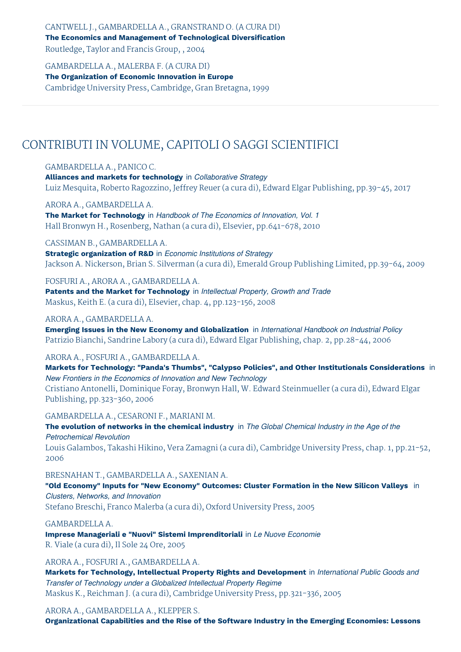CANTWELL J., GAMBARDELLA A., GRANSTRAND O. (A CURA DI) **The Economics and Management of Technological Diversification** Routledge, Taylor and Francis Group, , 2004

GAMBARDELLA A., MALERBA F. (A CURA DI) **The Organization of Economic Innovation in Europe** Cambridge University Press, Cambridge, Gran Bretagna, 1999

# CONTRIBUTI IN VOLUME, CAPITOLI O SAGGI SCIENTIFICI

#### GAMBARDELLA A., PANICO C.

**Alliances and markets for technology** in *Collaborative Strategy* Luiz Mesquita, Roberto Ragozzino, Jeffrey Reuer (a cura di), Edward Elgar Publishing, pp.39-45, 2017

#### ARORA A., GAMBARDELLA A.

**The Market for Technology** in *Handbook of The Economics of Innovation, Vol. 1* Hall Bronwyn H., Rosenberg, Nathan (a cura di), Elsevier, pp.641-678, 2010

#### CASSIMAN B., GAMBARDELLA A.

**Strategic organization of R&D** in *Economic Institutions of Strategy* Jackson A. Nickerson, Brian S. Silverman (a cura di), Emerald Group Publishing Limited, pp.39-64, 2009

#### FOSFURI A., ARORA A., GAMBARDELLA A.

**Patents and the Market for Technology** in *Intellectual Property, Growth and Trade* Maskus, Keith E. (a cura di), Elsevier, chap. 4, pp.123-156, 2008

#### ARORA A., GAMBARDELLA A.

**Emerging Issues in the New Economy and Globalization** in *International Handbook on Industrial Policy* Patrizio Bianchi, Sandrine Labory (a cura di), Edward Elgar Publishing, chap. 2, pp.28-44, 2006

#### ARORA A., FOSFURI A., GAMBARDELLA A.

**Markets for Technology: "Panda's Thumbs", "Calypso Policies", and Other Institutionals Considerations** in *New Frontiers in the Economics of Innovation and New Technology* Cristiano Antonelli, Dominique Foray, Bronwyn Hall, W. Edward Steinmueller (a cura di), Edward Elgar Publishing, pp.323-360, 2006

#### GAMBARDELLA A., CESARONI F., MARIANI M.

**The evolution of networks in the chemical industry** in *The Global Chemical Industry in the Age of the Petrochemical Revolution* Louis Galambos, Takashi Hikino, Vera Zamagni (a cura di), Cambridge University Press, chap. 1, pp.21-52,

2006

BRESNAHAN T., GAMBARDELLA A., SAXENIAN A. **"Old Economy" Inputs for "New Economy" Outcomes: Cluster Formation in the New Silicon Valleys** in *Clusters, Networks, and Innovation*

Stefano Breschi, Franco Malerba (a cura di), Oxford University Press, 2005

#### GAMBARDELLA A.

**Imprese Manageriali e "Nuovi" Sistemi Imprenditoriali** in *Le Nuove Economie* R. Viale (a cura di), Il Sole 24 Ore, 2005

ARORA A., FOSFURI A., GAMBARDELLA A.

**Markets for Technology, Intellectual Property Rights and Development** in *International Public Goods and Transfer of Technology under a Globalized Intellectual Property Regime* Maskus K., Reichman J. (a cura di), Cambridge University Press, pp.321-336, 2005

#### ARORA A., GAMBARDELLA A., KLEPPER S.

**Organizational Capabilities and the Rise of the Software Industry in the Emerging Economies: Lessons**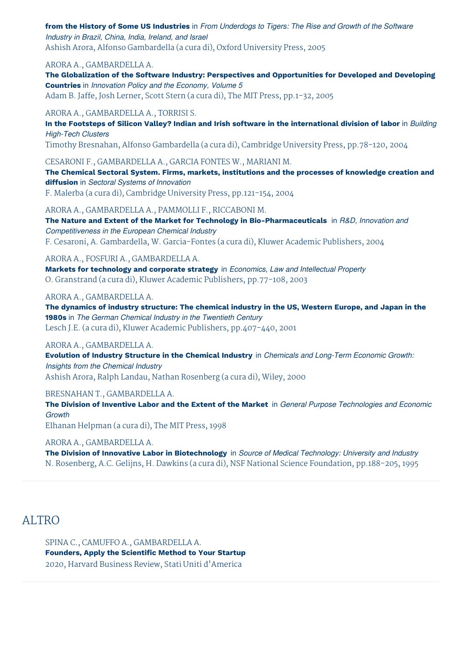from the History of Some US Industries in From Underdogs to Tigers: The Rise and Growth of the Software *Industry in Brazil, China, India, Ireland, and Israel* Ashish Arora, Alfonso Gambardella (a cura di), Oxford University Press, 2005

#### ARORA A., GAMBARDELLA A.

**The Globalization of the Software Industry: Perspectives and Opportunities for Developed and Developing Countries** in *Innovation Policy and the Economy, Volume 5* Adam B. Jaffe, Josh Lerner, Scott Stern (a cura di), The MIT Press, pp.1-32, 2005

#### ARORA A., GAMBARDELLA A., TORRISI S.

In the Footsteps of Silicon Valley? Indian and Irish software in the international division of labor in Building *High-Tech Clusters*

Timothy Bresnahan, Alfonso Gambardella (a cura di), Cambridge University Press, pp.78-120, 2004

CESARONI F., GAMBARDELLA A., GARCIA FONTES W., MARIANI M.

**The Chemical Sectoral System. Firms, markets, institutions and the processes of knowledge creation and diffusion** in *Sectoral Systems of Innovation*

F. Malerba (a cura di), Cambridge University Press, pp.121-154, 2004

ARORA A., GAMBARDELLA A., PAMMOLLI F., RICCABONI M.

**The Nature and Extent of the Market for Technology in Bio-Pharmaceuticals** in *R&D, Innovation and Competitiveness in the European Chemical Industry* F. Cesaroni, A. Gambardella, W. Garcia-Fontes (a cura di), Kluwer Academic Publishers, 2004

#### ARORA A., FOSFURI A., GAMBARDELLA A.

**Markets for technology and corporate strategy** in *Economics, Law and Intellectual Property* O. Granstrand (a cura di), Kluwer Academic Publishers, pp.77-108, 2003

#### ARORA A., GAMBARDELLA A.

**The dynamics of industry structure: The chemical industry in the US, Western Europe, and Japan in the 1980s** in *The German Chemical Industry in the Twentieth Century* Lesch J.E. (a cura di), Kluwer Academic Publishers, pp.407-440, 2001

#### ARORA A., GAMBARDELLA A.

**Evolution of Industry Structure in the Chemical Industry** in *Chemicals and Long-Term Economic Growth: Insights from the Chemical Industry* Ashish Arora, Ralph Landau, Nathan Rosenberg (a cura di), Wiley, 2000

BRESNAHAN T., GAMBARDELLA A.

**The Division of Inventive Labor and the Extent of the Market** in *General Purpose Technologies and Economic Growth*

Elhanan Helpman (a cura di), The MIT Press, 1998

#### ARORA A., GAMBARDELLA A.

**The Division of Innovative Labor in Biotechnology** in *Source of Medical Technology: University and Industry* N. Rosenberg, A.C. Gelijns, H. Dawkins (a cura di), NSF National Science Foundation, pp.188-205, 1995

### ALTRO

SPINA C., CAMUFFO A., GAMBARDELLA A. **Founders, Apply the Scientific Method to Your Startup** 2020, Harvard Business Review, Stati Uniti d'America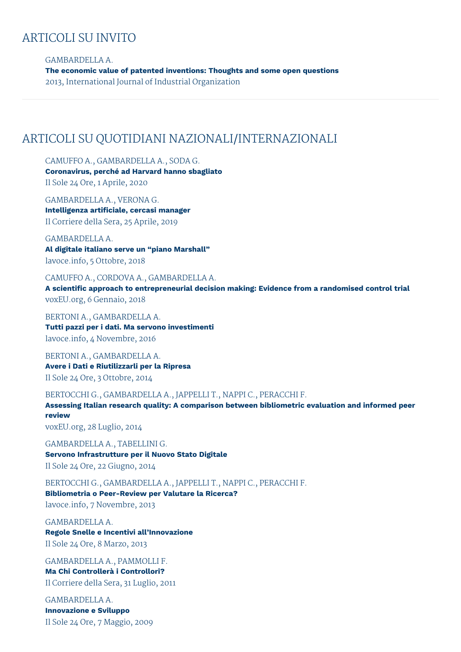## ARTICOLI SU INVITO

GAMBARDELLA A. **The economic value of patented inventions: Thoughts and some open questions** 2013, International Journal of Industrial Organization

### ARTICOLI SU QUOTIDIANI NAZIONALI/INTERNAZIONALI

CAMUFFO A., GAMBARDELLA A., SODA G. **Coronavirus, perché ad Harvard hanno sbagliato** Il Sole 24 Ore, 1 Aprile, 2020

GAMBARDELLA A., VERONA G. **Intelligenza artificiale, cercasi manager** Il Corriere della Sera, 25 Aprile, 2019

GAMBARDELLA A. **Al digitale italiano serve un "piano Marshall"** lavoce.info, 5 Ottobre, 2018

CAMUFFO A., CORDOVA A., GAMBARDELLA A. **A scientific approach to entrepreneurial decision making: Evidence from a randomised control trial** voxEU.org, 6 Gennaio, 2018

BERTONI A., GAMBARDELLA A. **Tutti pazzi per i dati. Ma servono investimenti** lavoce.info, 4 Novembre, 2016

BERTONI A., GAMBARDELLA A. **Avere i Dati e Riutilizzarli per la Ripresa** Il Sole 24 Ore, 3 Ottobre, 2014

BERTOCCHI G., GAMBARDELLA A., JAPPELLI T., NAPPI C., PERACCHI F.

**Assessing Italian research quality: A comparison between bibliometric evaluation and informed peer review** voxEU.org, 28 Luglio, 2014

GAMBARDELLA A., TABELLINI G. **Servono Infrastrutture per il Nuovo Stato Digitale** Il Sole 24 Ore, 22 Giugno, 2014

BERTOCCHI G., GAMBARDELLA A., JAPPELLI T., NAPPI C., PERACCHI F. **Bibliometria o Peer-Review per Valutare la Ricerca?** lavoce.info, 7 Novembre, 2013

GAMBARDELLA A. **Regole Snelle e Incentivi all'Innovazione** Il Sole 24 Ore, 8 Marzo, 2013

GAMBARDELLA A., PAMMOLLI F. **Ma Chi Controllerà i Controllori?** Il Corriere della Sera, 31 Luglio, 2011

GAMBARDELLA A. **Innovazione e Sviluppo** Il Sole 24 Ore, 7 Maggio, 2009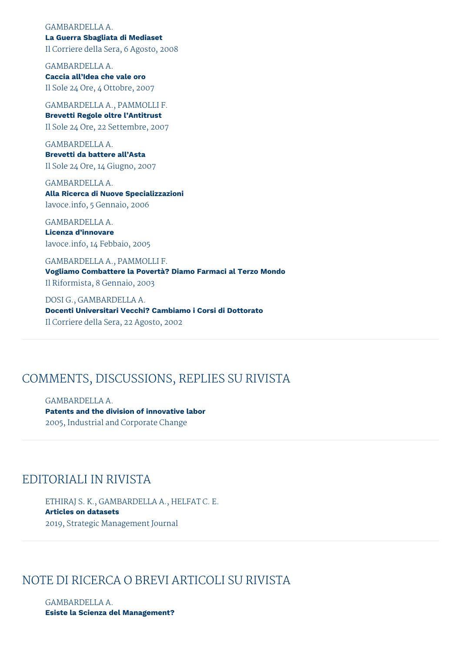### GAMBARDELLA A.

**La Guerra Sbagliata di Mediaset** Il Corriere della Sera, 6 Agosto, 2008

GAMBARDELLA A. **Caccia all'Idea che vale oro** Il Sole 24 Ore, 4 Ottobre, 2007

GAMBARDELLA A., PAMMOLLI F. **Brevetti Regole oltre l'Antitrust** Il Sole 24 Ore, 22 Settembre, 2007

GAMBARDELLA A. **Brevetti da battere all'Asta** Il Sole 24 Ore, 14 Giugno, 2007

GAMBARDELLA A. **Alla Ricerca di Nuove Specializzazioni** lavoce.info, 5 Gennaio, 2006

GAMBARDELLA A. **Licenza d'innovare** lavoce.info, 14 Febbaio, 2005

GAMBARDELLA A., PAMMOLLI F. **Vogliamo Combattere la Povertà? Diamo Farmaci al Terzo Mondo** Il Riformista, 8 Gennaio, 2003

DOSI G., GAMBARDELLA A. **Docenti Universitari Vecchi? Cambiamo i Corsi di Dottorato** Il Corriere della Sera, 22 Agosto, 2002

# COMMENTS, DISCUSSIONS, REPLIES SU RIVISTA

GAMBARDELLA A. **Patents and the division of innovative labor** 2005, Industrial and Corporate Change

# EDITORIALI IN RIVISTA

ETHIRAJ S. K., GAMBARDELLA A., HELFAT C. E. **Articles on datasets** 2019, Strategic Management Journal

# NOTE DI RICERCA O BREVI ARTICOLI SU RIVISTA

GAMBARDELLA A. **Esiste la Scienza del Management?**